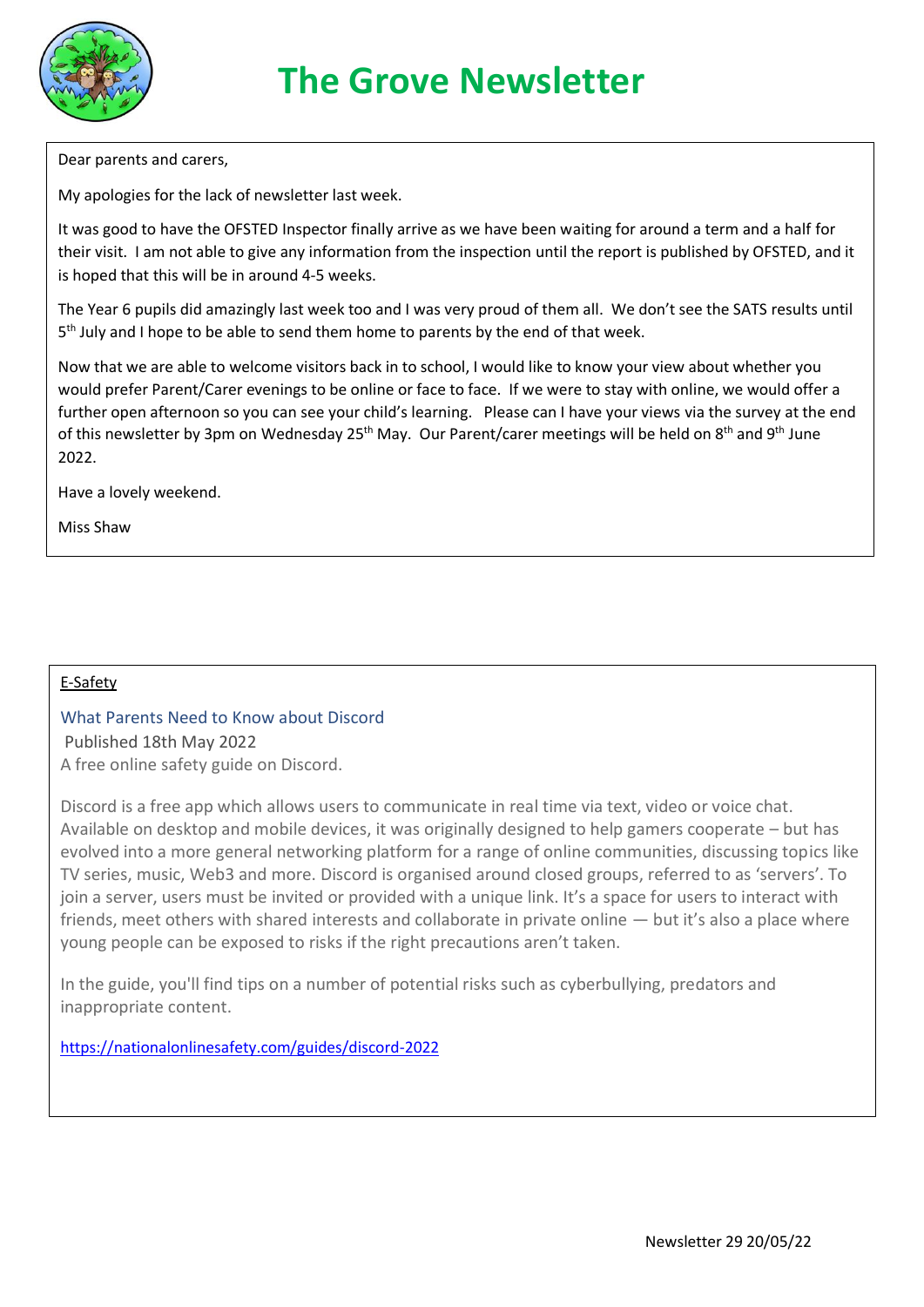

Dear parents and carers,

My apologies for the lack of newsletter last week.

It was good to have the OFSTED Inspector finally arrive as we have been waiting for around a term and a half for their visit. I am not able to give any information from the inspection until the report is published by OFSTED, and it is hoped that this will be in around 4-5 weeks.

The Year 6 pupils did amazingly last week too and I was very proud of them all. We don't see the SATS results until 5<sup>th</sup> July and I hope to be able to send them home to parents by the end of that week.

Now that we are able to welcome visitors back in to school, I would like to know your view about whether you would prefer Parent/Carer evenings to be online or face to face. If we were to stay with online, we would offer a further open afternoon so you can see your child's learning. Please can I have your views via the survey at the end of this newsletter by 3pm on Wednesday 25<sup>th</sup> May. Our Parent/carer meetings will be held on 8<sup>th</sup> and 9<sup>th</sup> June 2022.

Have a lovely weekend.

Miss Shaw

#### E-Safety

What Parents Need to Know about Discord Published 18th May 2022 A free online safety guide on Discord.

Discord is a free app which allows users to communicate in real time via text, video or voice chat. Available on desktop and mobile devices, it was originally designed to help gamers cooperate – but has evolved into a more general networking platform for a range of online communities, discussing topics like TV series, music, Web3 and more. Discord is organised around closed groups, referred to as 'servers'. To join a server, users must be invited or provided with a unique link. It's a space for users to interact with friends, meet others with shared interests and collaborate in private online — but it's also a place where young people can be exposed to risks if the right precautions aren't taken.

In the guide, you'll find tips on a number of potential risks such as cyberbullying, predators and inappropriate content.

<https://nationalonlinesafety.com/guides/discord-2022>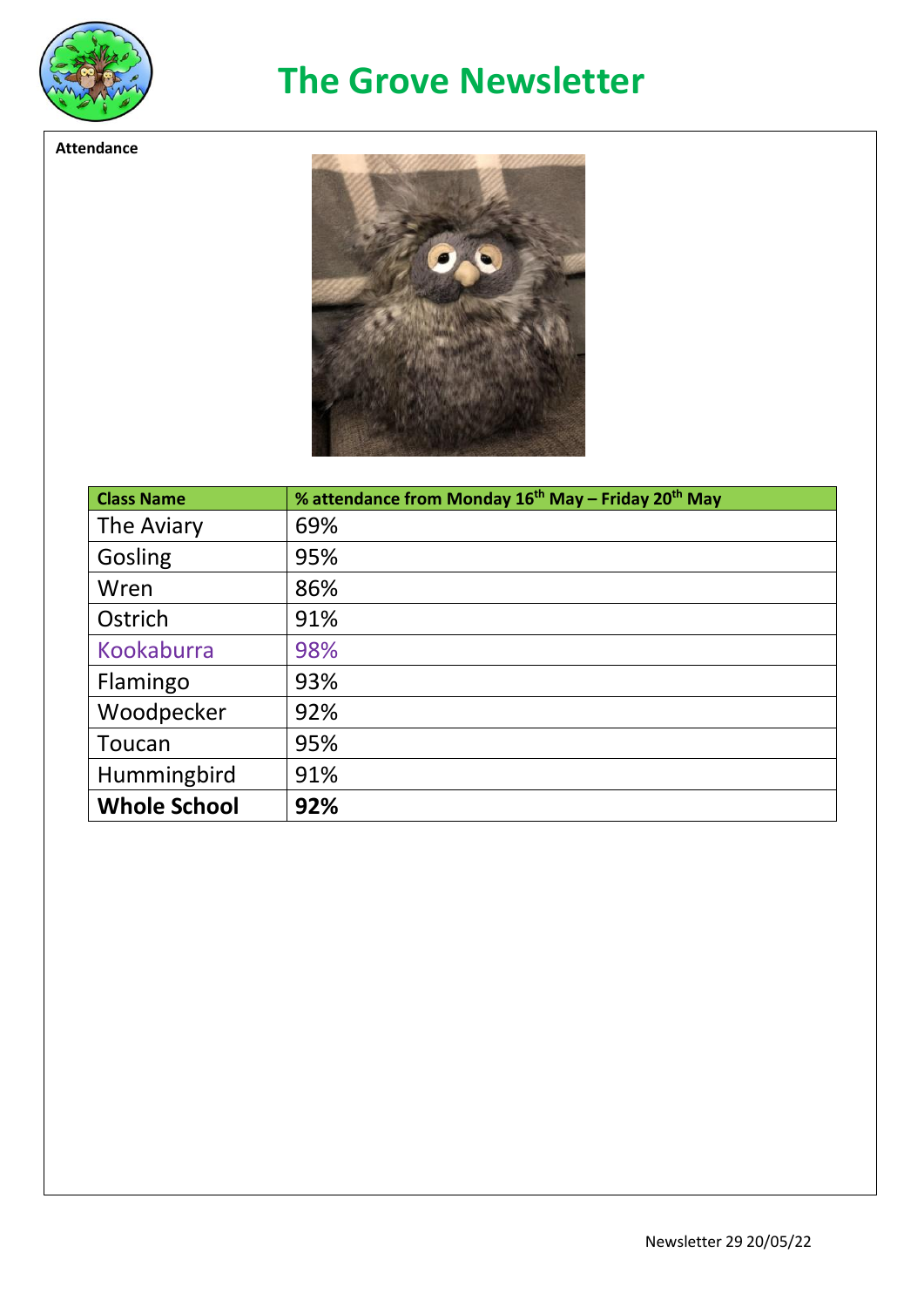

**Attendance**

## **The Grove Newsletter**

 $\bullet$ 

| <b>Class Name</b>   | % attendance from Monday 16 <sup>th</sup> May - Friday 20 <sup>th</sup> May |
|---------------------|-----------------------------------------------------------------------------|
| The Aviary          | 69%                                                                         |
| Gosling             | 95%                                                                         |
| Wren                | 86%                                                                         |
| Ostrich             | 91%                                                                         |
| <b>Kookaburra</b>   | 98%                                                                         |
| Flamingo            | 93%                                                                         |
| Woodpecker          | 92%                                                                         |
| Toucan              | 95%                                                                         |
| Hummingbird         | 91%                                                                         |
| <b>Whole School</b> | 92%                                                                         |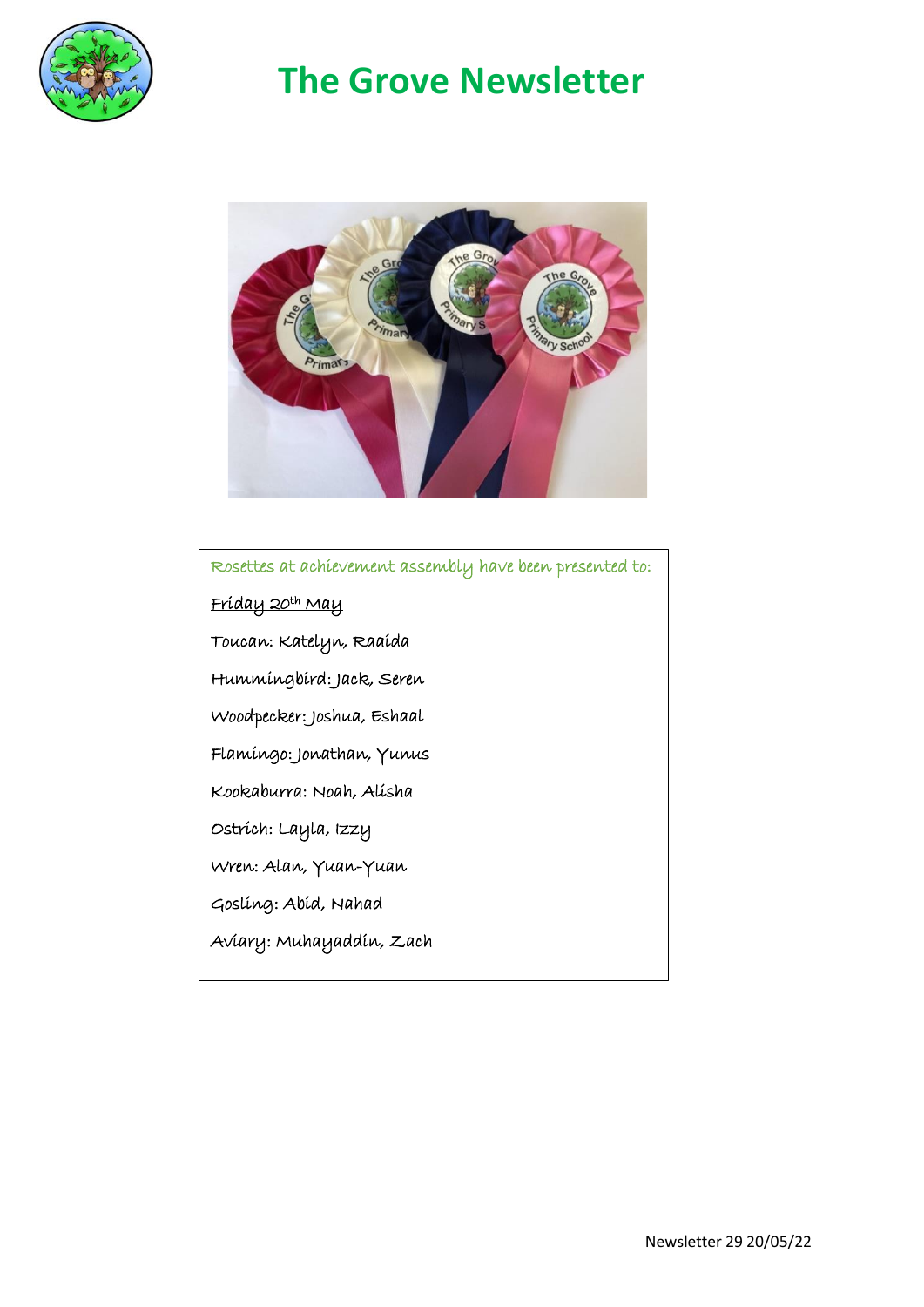

# **The Grove Newsletter**



#### Rosettes at achievement assembly have been presented to:

<u>Fríday 20th May</u>

Toucan: Katelyn, Raaida

Hummingbird: Jack, Seren

Woodpecker: Joshua, Eshaal

Flamingo: Jonathan, Yunus

Kookaburra: Noah, Alisha

Ostrich: Layla, Izzy

Wren: Alan, Yuan-Yuan

Gosling: Abid, Nahad

Aviary: Muhayaddin, Zach